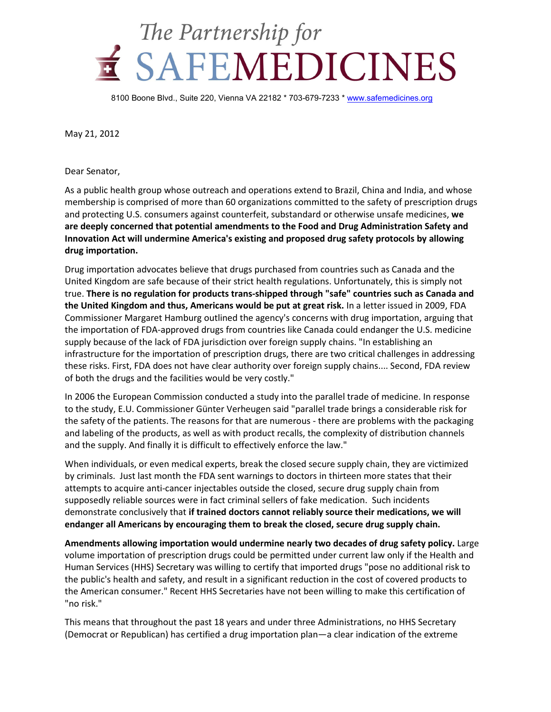

8100 Boone Blvd., Suite 220, Vienna VA 22182 \* 703-679-7233 \* www.safemedicines.org

May 21, 2012

Dear Senator,

As a public health group whose outreach and operations extend to Brazil, China and India, and whose membership is comprised of more than 60 organizations committed to the safety of prescription drugs and protecting U.S. consumers against counterfeit, substandard or otherwise unsafe medicines, **we are deeply concerned that potential amendments to the Food and Drug Administration Safety and Innovation Act will undermine America's existing and proposed drug safety protocols by allowing drug importation.** 

Drug importation advocates believe that drugs purchased from countries such as Canada and the United Kingdom are safe because of their strict health regulations. Unfortunately, this is simply not true. **There is no regulation for products trans-shipped through "safe" countries such as Canada and the United Kingdom and thus, Americans would be put at great risk.** In a letter issued in 2009, FDA Commissioner Margaret Hamburg outlined the agency's concerns with drug importation, arguing that the importation of FDA-approved drugs from countries like Canada could endanger the U.S. medicine supply because of the lack of FDA jurisdiction over foreign supply chains. "In establishing an infrastructure for the importation of prescription drugs, there are two critical challenges in addressing these risks. First, FDA does not have clear authority over foreign supply chains.... Second, FDA review of both the drugs and the facilities would be very costly."

In 2006 the European Commission conducted a study into the parallel trade of medicine. In response to the study, E.U. Commissioner Günter Verheugen said "parallel trade brings a considerable risk for the safety of the patients. The reasons for that are numerous - there are problems with the packaging and labeling of the products, as well as with product recalls, the complexity of distribution channels and the supply. And finally it is difficult to effectively enforce the law."

When individuals, or even medical experts, break the closed secure supply chain, they are victimized by criminals. Just last month the FDA sent warnings to doctors in thirteen more states that their attempts to acquire anti-cancer injectables outside the closed, secure drug supply chain from supposedly reliable sources were in fact criminal sellers of fake medication. Such incidents demonstrate conclusively that **if trained doctors cannot reliably source their medications, we will endanger all Americans by encouraging them to break the closed, secure drug supply chain.** 

**Amendments allowing importation would undermine nearly two decades of drug safety policy.** Large volume importation of prescription drugs could be permitted under current law only if the Health and Human Services (HHS) Secretary was willing to certify that imported drugs "pose no additional risk to the public's health and safety, and result in a significant reduction in the cost of covered products to the American consumer." Recent HHS Secretaries have not been willing to make this certification of "no risk."

This means that throughout the past 18 years and under three Administrations, no HHS Secretary (Democrat or Republican) has certified a drug importation plan—a clear indication of the extreme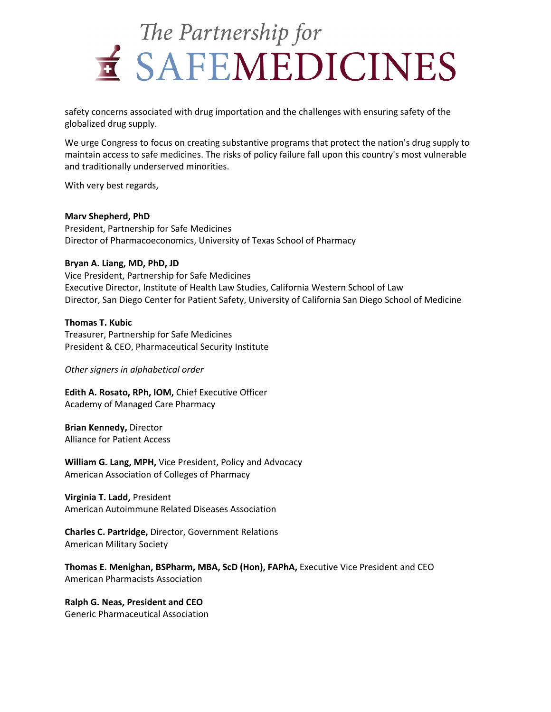

safety concerns associated with drug importation and the challenges with ensuring safety of the globalized drug supply.

We urge Congress to focus on creating substantive programs that protect the nation's drug supply to maintain access to safe medicines. The risks of policy failure fall upon this country's most vulnerable and traditionally underserved minorities.

With very best regards,

#### **Marv Shepherd, PhD**

President, Partnership for Safe Medicines Director of Pharmacoeconomics, University of Texas School of Pharmacy

### **Bryan A. Liang, MD, PhD, JD**

Vice President, Partnership for Safe Medicines Executive Director, Institute of Health Law Studies, California Western School of Law Director, San Diego Center for Patient Safety, University of California San Diego School of Medicine

### **Thomas T. Kubic**

Treasurer, Partnership for Safe Medicines President & CEO, Pharmaceutical Security Institute

*Other signers in alphabetical order* 

**Edith A. Rosato, RPh, IOM,** Chief Executive Officer Academy of Managed Care Pharmacy

**Brian Kennedy,** Director Alliance for Patient Access

**William G. Lang, MPH,** Vice President, Policy and Advocacy American Association of Colleges of Pharmacy

**Virginia T. Ladd,** President American Autoimmune Related Diseases Association

**Charles C. Partridge,** Director, Government Relations American Military Society

**Thomas E. Menighan, BSPharm, MBA, ScD (Hon), FAPhA,** Executive Vice President and CEO American Pharmacists Association

**Ralph G. Neas, President and CEO**  Generic Pharmaceutical Association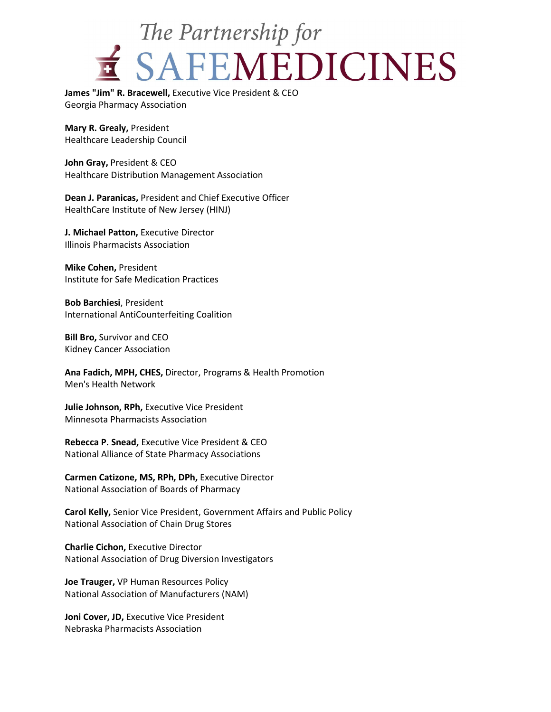# The Partnership for E SAFEMEDICINES

**James "Jim" R. Bracewell,** Executive Vice President & CEO Georgia Pharmacy Association

**Mary R. Grealy,** President Healthcare Leadership Council

**John Gray,** President & CEO Healthcare Distribution Management Association

**Dean J. Paranicas,** President and Chief Executive Officer HealthCare Institute of New Jersey (HINJ)

**J. Michael Patton,** Executive Director Illinois Pharmacists Association

**Mike Cohen,** President Institute for Safe Medication Practices

**Bob Barchiesi**, President International AntiCounterfeiting Coalition

**Bill Bro,** Survivor and CEO Kidney Cancer Association

**Ana Fadich, MPH, CHES,** Director, Programs & Health Promotion Men's Health Network

**Julie Johnson, RPh,** Executive Vice President Minnesota Pharmacists Association

**Rebecca P. Snead,** Executive Vice President & CEO National Alliance of State Pharmacy Associations

**Carmen Catizone, MS, RPh, DPh,** Executive Director National Association of Boards of Pharmacy

**Carol Kelly,** Senior Vice President, Government Affairs and Public Policy National Association of Chain Drug Stores

**Charlie Cichon,** Executive Director National Association of Drug Diversion Investigators

**Joe Trauger,** VP Human Resources Policy National Association of Manufacturers (NAM)

**Joni Cover, JD,** Executive Vice President Nebraska Pharmacists Association